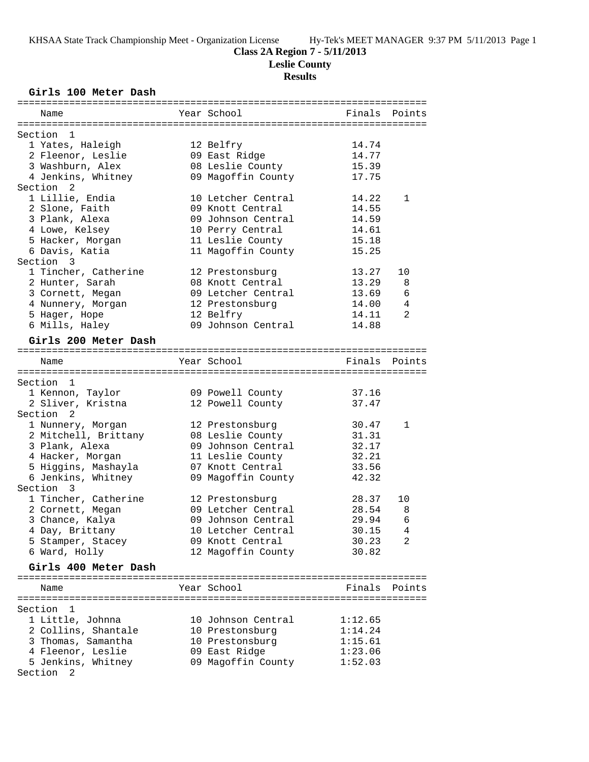**Leslie County**

# **Results**

# **Girls 100 Meter Dash**

| Name                                  |  | Year School        | Finals  | Points         |
|---------------------------------------|--|--------------------|---------|----------------|
|                                       |  |                    |         |                |
| Section 1                             |  |                    |         |                |
| 1 Yates, Haleigh                      |  | 12 Belfry          | 14.74   |                |
| 2 Fleenor, Leslie                     |  | 09 East Ridge      | 14.77   |                |
| 3 Washburn, Alex                      |  | 08 Leslie County   | 15.39   |                |
| 4 Jenkins, Whitney                    |  | 09 Magoffin County | 17.75   |                |
| Section 2                             |  |                    |         |                |
| 1 Lillie, Endia                       |  | 10 Letcher Central | 14.22   | 1              |
| 2 Slone, Faith                        |  | 09 Knott Central   | 14.55   |                |
| 3 Plank, Alexa                        |  | 09 Johnson Central | 14.59   |                |
| 4 Lowe, Kelsey                        |  | 10 Perry Central   | 14.61   |                |
| 5 Hacker, Morgan                      |  | 11 Leslie County   | 15.18   |                |
| 6 Davis, Katia                        |  | 11 Magoffin County | 15.25   |                |
| Section 3                             |  |                    |         |                |
| 1 Tincher, Catherine                  |  | 12 Prestonsburg    | 13.27   | 10             |
| 2 Hunter, Sarah                       |  | 08 Knott Central   | 13.29   | 8              |
| 3 Cornett, Megan                      |  | 09 Letcher Central | 13.69   | 6              |
|                                       |  |                    |         |                |
| 4 Nunnery, Morgan                     |  | 12 Prestonsburg    | 14.00   | 4              |
| 5 Hager, Hope                         |  | 12 Belfry          | 14.11   | 2              |
| 6 Mills, Haley                        |  | 09 Johnson Central | 14.88   |                |
| Girls 200 Meter Dash                  |  |                    |         |                |
|                                       |  |                    |         |                |
| Name                                  |  | Year School        | Finals  | Points         |
|                                       |  |                    |         |                |
| Section 1                             |  |                    |         |                |
| 1 Kennon, Taylor                      |  | 09 Powell County   | 37.16   |                |
| 2 Sliver, Kristna                     |  | 12 Powell County   | 37.47   |                |
| Section <sub>2</sub>                  |  |                    |         |                |
| 1 Nunnery, Morgan                     |  | 12 Prestonsburg    | 30.47   | 1              |
| 2 Mitchell, Brittany                  |  | 08 Leslie County   | 31.31   |                |
| 3 Plank, Alexa                        |  | 09 Johnson Central | 32.17   |                |
| 4 Hacker, Morgan                      |  | 11 Leslie County   | 32.21   |                |
|                                       |  |                    |         |                |
| 5 Higgins, Mashayla                   |  | 07 Knott Central   | 33.56   |                |
| 6 Jenkins, Whitney                    |  | 09 Magoffin County | 42.32   |                |
| Section 3                             |  |                    |         |                |
| 1 Tincher, Catherine                  |  | 12 Prestonsburg    | 28.37   | 10             |
| 2 Cornett, Megan                      |  | 09 Letcher Central | 28.54   | 8              |
| 3 Chance, Kalya                       |  | 09 Johnson Central | 29.94   | 6              |
| 4 Day, Brittany                       |  | 10 Letcher Central | 30.15   | $\overline{4}$ |
| 5 Stamper, Stacey                     |  | 09 Knott Central   | 30.23   | 2              |
| 6 Ward, Holly                         |  | 12 Magoffin County | 30.82   |                |
|                                       |  |                    |         |                |
| Girls 400 Meter Dash                  |  |                    |         |                |
|                                       |  |                    |         |                |
| Name                                  |  | Year School        |         | Finals Points  |
|                                       |  |                    |         |                |
| Section 1                             |  |                    |         |                |
| 1 Little, Johnna                      |  | 10 Johnson Central | 1:12.65 |                |
| 2 Collins, Shantale                   |  | 10 Prestonsburg    | 1:14.24 |                |
| 3 Thomas, Samantha                    |  | 10 Prestonsburg    | 1:15.61 |                |
| 4 Fleenor, Leslie                     |  | 09 East Ridge      | 1:23.06 |                |
| 5 Jenkins, Whitney                    |  | 09 Magoffin County | 1:52.03 |                |
| Section<br>$\overline{\phantom{0}}^2$ |  |                    |         |                |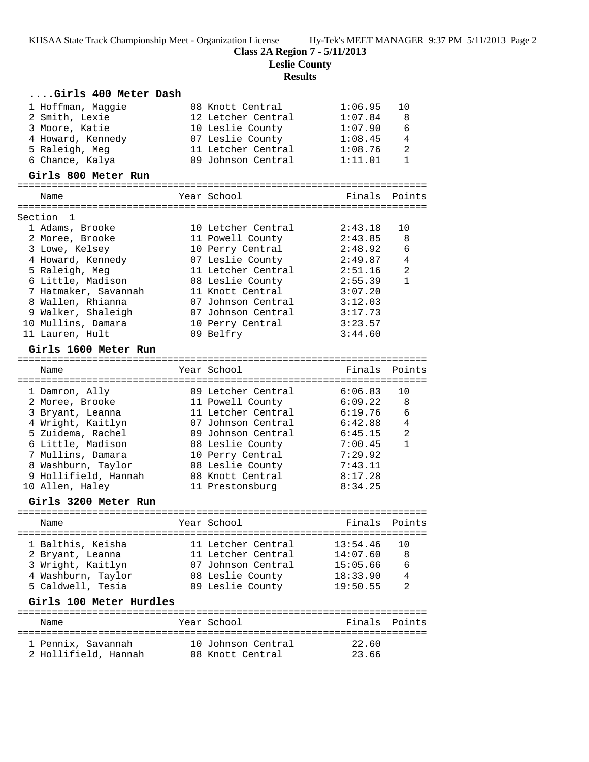**Class 2A Region 7 - 5/11/2013**

**Leslie County**

| Girls 400 Meter Dash    |                            |               |                |
|-------------------------|----------------------------|---------------|----------------|
| 1 Hoffman, Maggie       | 08 Knott Central           | 1:06.95       | 10             |
| 2 Smith, Lexie          | 12 Letcher Central         | 1:07.84       | 8              |
| 3 Moore, Katie          | 10 Leslie County           | 1:07.90       | 6              |
| 4 Howard, Kennedy       | 07 Leslie County 1:08.45   |               | $\overline{4}$ |
| 5 Raleigh, Meg          | 11 Letcher Central 1:08.76 |               | 2              |
| 6 Chance, Kalya         | 09 Johnson Central         | 1:11.01       | $\mathbf 1$    |
| Girls 800 Meter Run     |                            |               |                |
| Name                    | Year School                |               | Finals Points  |
| Section 1               |                            |               |                |
| 1 Adams, Brooke         | 10 Letcher Central         | 2:43.18       | 10             |
| 2 Moree, Brooke         | 11 Powell County           | 2:43.85       | 8              |
| 3 Lowe, Kelsey          | 10 Perry Central           | 2:48.92       | 6              |
| 4 Howard, Kennedy       | 07 Leslie County           | 2:49.87       | 4              |
| 5 Raleigh, Meg          | 11 Letcher Central         | 2:51.16       | $\overline{a}$ |
| 6 Little, Madison       | 08 Leslie County           | 2:55.39       | $\mathbf{1}$   |
| 7 Hatmaker, Savannah    | 11 Knott Central           | 3:07.20       |                |
| 8 Wallen, Rhianna       | 07 Johnson Central         | 3:12.03       |                |
| 9 Walker, Shaleigh      | 07 Johnson Central         | 3:17.73       |                |
| 10 Mullins, Damara      | 10 Perry Central           | 3:23.57       |                |
| 11 Lauren, Hult         | 09 Belfry                  | 3:44.60       |                |
| Girls 1600 Meter Run    |                            |               |                |
| Name                    | Year School                |               | Finals Points  |
|                         |                            |               |                |
| 1 Damron, Ally          | 09 Letcher Central         | 6:06.83       | 10             |
| 2 Moree, Brooke         | 11 Powell County           | 6:09.22       | 8              |
| 3 Bryant, Leanna        | 11 Letcher Central         | 6:19.76       | 6              |
| 4 Wright, Kaitlyn       | 07 Johnson Central         | 6:42.88       | $\overline{4}$ |
| 5 Zuidema, Rachel       | 09 Johnson Central         | 6:45.15       | 2              |
| 6 Little, Madison       | 08 Leslie County           | 7:00.45       | $\mathbf{1}$   |
| 7 Mullins, Damara       | 10 Perry Central           | 7:29.92       |                |
| 8 Washburn, Taylor      | 08 Leslie County           | 7:43.11       |                |
| 9 Hollifield, Hannah    | 08 Knott Central           | 8:17.28       |                |
| 10 Allen, Haley         | 11 Prestonsburg            | 8:34.25       |                |
| Girls 3200 Meter Run    |                            |               |                |
| Name                    | Year School                | Finals Points |                |
| 1 Balthis, Keisha       | 11 Letcher Central         | 13:54.46      | 10             |
| 2 Bryant, Leanna        | 11 Letcher Central         | 14:07.60      | 8              |
| 3 Wright, Kaitlyn       | 07 Johnson Central         | 15:05.66      | 6              |
| 4 Washburn, Taylor      | 08 Leslie County           | 18:33.90      | 4              |
| 5 Caldwell, Tesia       | 09 Leslie County           | 19:50.55      | 2              |
| Girls 100 Meter Hurdles |                            |               |                |
| Name                    | Year School                | Finals        | Points         |
|                         |                            |               |                |
| 1 Pennix, Savannah      | 10 Johnson Central         | 22.60         |                |
| 2 Hollifield, Hannah    | 08 Knott Central           | 23.66         |                |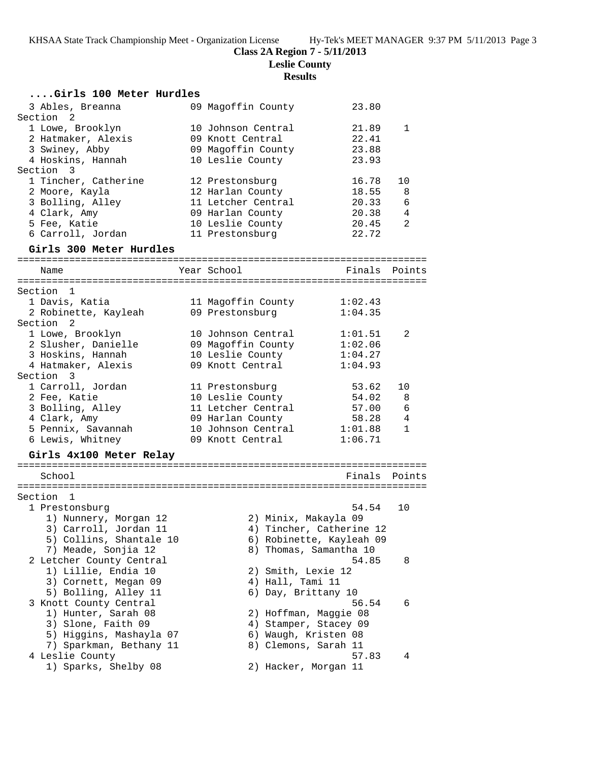# **Class 2A Region 7 - 5/11/2013**

**Leslie County**

| Girls 100 Meter Hurdles  |                       |                          |              |
|--------------------------|-----------------------|--------------------------|--------------|
| 3 Ables, Breanna         | 09 Magoffin County    | 23.80                    |              |
| Section 2                |                       |                          |              |
| 1 Lowe, Brooklyn         | 10 Johnson Central    | 21.89                    | 1            |
| 2 Hatmaker, Alexis       | 09 Knott Central      | 22.41                    |              |
| 3 Swiney, Abby           | 09 Magoffin County    | 23.88                    |              |
| 4 Hoskins, Hannah        | 10 Leslie County      | 23.93                    |              |
| Section 3                |                       |                          |              |
| 1 Tincher, Catherine     | 12 Prestonsburg       | 16.78                    | 10           |
| 2 Moore, Kayla           | 12 Harlan County      | 18.55                    | 8            |
| 3 Bolling, Alley         | 11 Letcher Central    | 20.33                    | 6            |
| 4 Clark, Amy             | 09 Harlan County      | 20.38                    | 4            |
| 5 Fee, Katie             | 10 Leslie County      | 20.45<br>22.72           | 2            |
| 6 Carroll, Jordan        | 11 Prestonsburg       |                          |              |
| Girls 300 Meter Hurdles  |                       |                          |              |
| Name                     | Year School           | Finals                   | Points       |
| Section 1                |                       |                          |              |
| 1 Davis, Katia           | 11 Magoffin County    | 1:02.43                  |              |
| 2 Robinette, Kayleah     | 09 Prestonsburg       | 1:04.35                  |              |
| Section <sub>2</sub>     |                       |                          |              |
| 1 Lowe, Brooklyn         | 10 Johnson Central    | 1:01.51                  | 2            |
| 2 Slusher, Danielle      | 09 Magoffin County    | 1:02.06                  |              |
| 3 Hoskins, Hannah        | 10 Leslie County      | 1:04.27                  |              |
| 4 Hatmaker, Alexis       | 09 Knott Central      | 1:04.93                  |              |
| Section 3                |                       |                          |              |
| 1 Carroll, Jordan        | 11 Prestonsburg       | 53.62                    | 10           |
| 2 Fee, Katie             | 10 Leslie County      | 54.02                    | 8            |
| 3 Bolling, Alley         | 11 Letcher Central    | 57.00                    | 6            |
| 4 Clark, Amy             | 09 Harlan County      | 58.28                    | 4            |
| 5 Pennix, Savannah       | 10 Johnson Central    | 1:01.88                  | $\mathbf{1}$ |
| 6 Lewis, Whitney         | 09 Knott Central      | 1:06.71                  |              |
| Girls 4x100 Meter Relay  |                       |                          |              |
| School                   |                       | Finals Points            |              |
|                          |                       |                          |              |
| Section 1                |                       |                          |              |
| 1 Prestonsburg           |                       | 54.54                    | 10           |
| 1) Nunnery, Morgan 12    | 2) Minix, Makayla 09  |                          |              |
| 3) Carroll, Jordan 11    |                       | 4) Tincher, Catherine 12 |              |
| 5) Collins, Shantale 10  |                       | 6) Robinette, Kayleah 09 |              |
| 7) Meade, Sonjia 12      |                       | 8) Thomas, Samantha 10   |              |
| 2 Letcher County Central |                       | 54.85                    | 8            |
| 1) Lillie, Endia 10      | 2) Smith, Lexie 12    |                          |              |
| 3) Cornett, Megan 09     | 4) Hall, Tami 11      |                          |              |
| 5) Bolling, Alley 11     | 6) Day, Brittany 10   |                          |              |
| 3 Knott County Central   |                       | 56.54                    | 6            |
| 1) Hunter, Sarah 08      | 2) Hoffman, Maggie 08 |                          |              |
| 3) Slone, Faith 09       | 4) Stamper, Stacey 09 |                          |              |
| 5) Higgins, Mashayla 07  | 6) Waugh, Kristen 08  |                          |              |
| 7) Sparkman, Bethany 11  | 8) Clemons, Sarah 11  |                          |              |
| 4 Leslie County          |                       | 57.83                    | 4            |
| 1) Sparks, Shelby 08     | 2) Hacker, Morgan 11  |                          |              |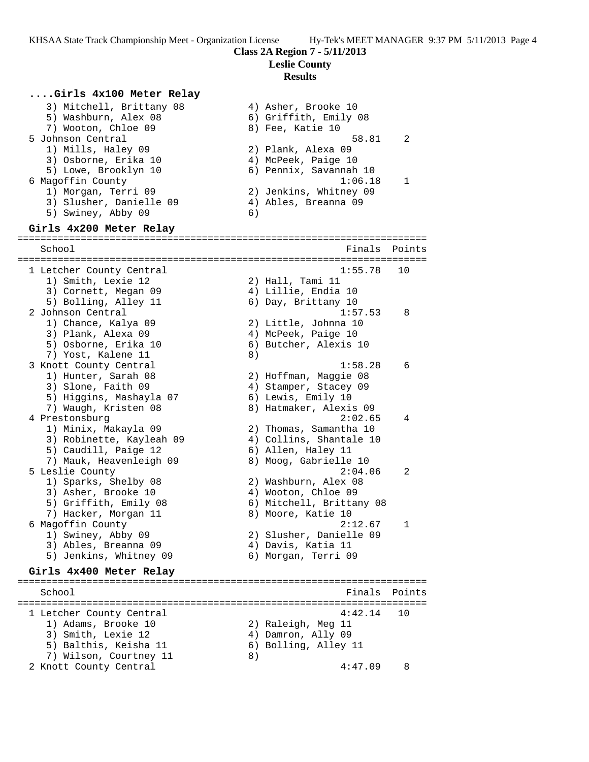**Leslie County**

# **Results**

#### **....Girls 4x100 Meter Relay**

| 3) Mitchell, Brittany 08 | 4) Asher, Brooke 10    |    |
|--------------------------|------------------------|----|
| 5) Washburn, Alex 08     | 6) Griffith, Emily 08  |    |
| 7) Wooton, Chloe 09      | 8) Fee, Katie 10       |    |
| 5 Johnson Central        | 58.81                  | 2  |
| 1) Mills, Haley 09       | 2) Plank, Alexa 09     |    |
| 3) Osborne, Erika 10     | 4) McPeek, Paige 10    |    |
| 5) Lowe, Brooklyn 10     | 6) Pennix, Savannah 10 |    |
| 6 Magoffin County        | 1:06.18                | -1 |
| 1) Morgan, Terri 09      | 2) Jenkins, Whitney 09 |    |
| 3) Slusher, Danielle 09  | 4) Ables, Breanna 09   |    |
| 5) Swiney, Abby 09       | 6)                     |    |
|                          |                        |    |
|                          |                        |    |

### **Girls 4x200 Meter Relay**

======================================================================= School **Finals** Points **School** ======================================================================= 1 Letcher County Central 1:55.78 10 1) Smith, Lexie 12 2) Hall, Tami 11 3) Cornett, Megan 09 4) Lillie, Endia 10 5) Bolling, Alley 11 6) Day, Brittany 10 2 Johnson Central 1:57.53 8 1) Chance, Kalya 09 2) Little, Johnna 10 3) Plank, Alexa 09 (4) McPeek, Paige 10 5) Osborne, Erika 10 6) Butcher, Alexis 10 7) Yost, Kalene 11 8) 3 Knott County Central 1:58.28 6 1) Hunter, Sarah 08 2) Hoffman, Maggie 08 3) Slone, Faith 09  $\begin{array}{ccc} 4 & 4 \end{array}$  Stamper, Stacey 09 5) Higgins, Mashayla 07 6) Lewis, Emily 10 7) Waugh, Kristen 08 8) Hatmaker, Alexis 09 4 Prestonsburg 2:02.65 4 1) Minix, Makayla 09 2) Thomas, Samantha 10 3) Robinette, Kayleah 09 4) Collins, Shantale 10 5) Caudill, Paige 12 (6) Allen, Haley 11 7) Mauk, Heavenleigh 09 8) Moog, Gabrielle 10 5 Leslie County 2:04.06 2 1) Sparks, Shelby 08 2) Washburn, Alex 08 3) Asher, Brooke 10 4) Wooton, Chloe 09 5) Griffith, Emily 08 6) Mitchell, Brittany 08 7) Hacker, Morgan 11 8) Moore, Katie 10 6 Magoffin County 2:12.67 1 1) Swiney, Abby 09 2) Slusher, Danielle 09 3) Ables, Breanna 09 (4) Davis, Katia 11 5) Jenkins, Whitney 09 6) Morgan, Terri 09

# **Girls 4x400 Meter Relay**

======================================================================= School **Finals Points** ======================================================================= 1 Letcher County Central 4:42.14 10 1) Adams, Brooke 10 2) Raleigh, Meg 11 3) Smith, Lexie 12 (4) Damron, Ally 09 5) Balthis, Keisha 11  $\qquad \qquad$  6) Bolling, Alley 11 7) Wilson, Courtney 11 8) 2 Knott County Central 4:47.09 8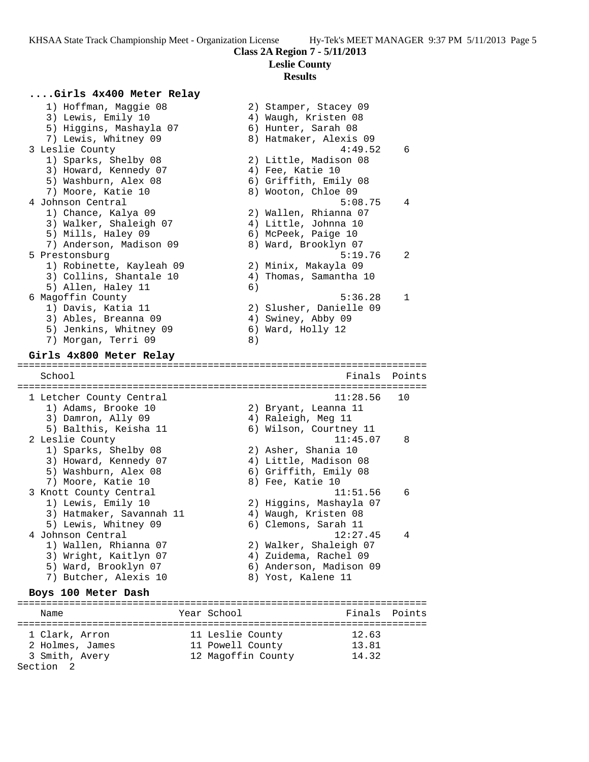# **Leslie County**

#### **Results**

 $4:49.52$  6

 $5:08.75$  4

 $5:19.76$  2

 $5:36.28$  1

# **....Girls 4x400 Meter Relay**

| 1) Hoffman, Maggie 08    | 2) Stamper, Stacey 09   |
|--------------------------|-------------------------|
| 3) Lewis, Emily 10       | 4) Waugh, Kristen 08    |
| 5) Higgins, Mashayla 07  | 6) Hunter, Sarah 08     |
| 7) Lewis, Whitney 09     | 8) Hatmaker, Alexis 09  |
| 3 Leslie County          | 4:49.52                 |
| 1) Sparks, Shelby 08     | 2) Little, Madison 08   |
| 3) Howard, Kennedy 07    | 4) Fee, Katie 10        |
| 5) Washburn, Alex 08     | 6) Griffith, Emily 08   |
| 7) Moore, Katie 10       | 8) Wooton, Chloe 09     |
| 4 Johnson Central        | 5:08.75                 |
| 1) Chance, Kalya 09      | 2) Wallen, Rhianna 07   |
| 3) Walker, Shaleigh 07   | 4) Little, Johnna 10    |
| 5) Mills, Haley 09       | 6) McPeek, Paige 10     |
| 7) Anderson, Madison 09  | 8) Ward, Brooklyn 07    |
| 5 Prestonsburg           | 5:19.76                 |
| 1) Robinette, Kayleah 09 | 2) Minix, Makayla 09    |
| 3) Collins, Shantale 10  | 4) Thomas, Samantha 10  |
| 5) Allen, Haley 11       | 6)                      |
| 6 Magoffin County        | 5:36.28                 |
| 1) Davis, Katia 11       | 2) Slusher, Danielle 09 |
| 3) Ables, Breanna 09     | 4) Swiney, Abby 09      |
| 5) Jenkins, Whitney 09   | 6) Ward, Holly 12       |
| 7) Morgan, Terri 09      | 8)                      |

#### **Girls 4x800 Meter Relay**

======================================================================= Finals Points ======================================================================= 1 Letcher County Central 11:28.56 10 1) Adams, Brooke 10 2) Bryant, Leanna 11 3) Damron, Ally 09 4) Raleigh, Meg 11 5) Balthis, Keisha 11 6) Wilson, Courtney 11 2 Leslie County 11:45.07 8 1) Sparks, Shelby 08 2) Asher, Shania 10 3) Howard, Kennedy 07 4) Little, Madison 08 5) Washburn, Alex 08 6) Griffith, Emily 08 7) Moore, Katie 10 a. 8) Fee, Katie 10 3 Knott County Central 11:51.56 6 1) Lewis, Emily 10 2) Higgins, Mashayla 07 3) Hatmaker, Savannah 11 <br />
4) Waugh, Kristen 08 5) Lewis, Whitney 09 6) Clemons, Sarah 11 4 Johnson Central 12:27.45 4 1) Wallen, Rhianna 07 2) Walker, Shaleigh 07 3) Wright, Kaitlyn 07 4) Zuidema, Rachel 09 5) Ward, Brooklyn 07 6) Anderson, Madison 09 7) Butcher, Alexis 10 (8) Yost, Kalene 11 **Boys 100 Meter Dash** =======================================================================

## Name The School Team School (Finals Points ======================================================================= 1 Clark, Arron 11 Leslie County 12.63 2 Holmes, James 11 Powell County 13.81 3 Smith, Avery 12 Magoffin County 14.32 Section 2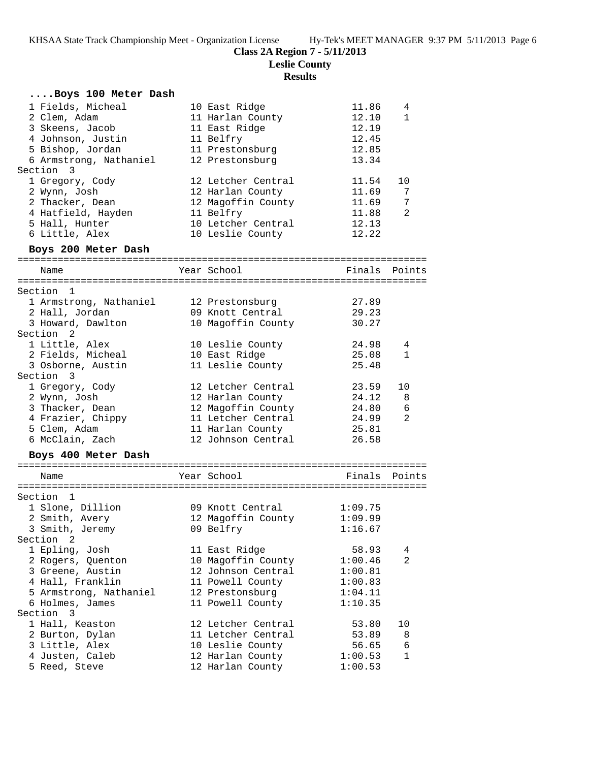**Leslie County**

| Boys 100 Meter Dash                       |                            |                        |
|-------------------------------------------|----------------------------|------------------------|
| 1 Fields, Micheal                         | 10 East Ridge              | 11.86<br>4             |
| 2 Clem, Adam                              | 11 Harlan County           | 12.10<br>$\mathbf{1}$  |
| 3 Skeens, Jacob                           | 11 East Ridge              | 12.19                  |
| 4 Johnson, Justin                         | 11 Belfry                  | 12.45                  |
| 5 Bishop, Jordan                          | 11 Prestonsburg            | 12.85                  |
| 6 Armstrong, Nathaniel                    | 12 Prestonsburg            | 13.34                  |
| Section 3                                 |                            |                        |
| 1 Gregory, Cody                           | 12 Letcher Central         | 11.54<br>10            |
| 2 Wynn, Josh                              | 12 Harlan County           | 11.69<br>7             |
| 2 Thacker, Dean                           | 12 Magoffin County         | 7<br>11.69             |
| 4 Hatfield, Hayden                        | 11 Belfry                  | 11.88<br>2             |
| 5 Hall, Hunter                            | 10 Letcher Central         | 12.13                  |
| 6 Little, Alex                            | 10 Leslie County           | 12.22                  |
| Boys 200 Meter Dash                       |                            |                        |
|                                           |                            |                        |
| Name                                      | Year School                | Finals Points          |
|                                           |                            |                        |
| Section 1                                 |                            |                        |
| 1 Armstrong, Nathaniel                    | 12 Prestonsburg            | 27.89                  |
| 2 Hall, Jordan                            | 09 Knott Central           | 29.23                  |
| 3 Howard, Dawlton<br>Section <sub>2</sub> | 10 Magoffin County         | 30.27                  |
|                                           |                            |                        |
| 1 Little, Alex                            | 10 Leslie County           | 24.98<br>4             |
| 2 Fields, Micheal                         | 10 East Ridge              | 25.08<br>1             |
| 3 Osborne, Austin                         | 11 Leslie County           | 25.48                  |
| Section 3                                 |                            |                        |
| 1 Gregory, Cody                           | 12 Letcher Central         | 23.59<br>10            |
| 2 Wynn, Josh                              | 12 Harlan County           | 24.12<br>8             |
| 3 Thacker, Dean                           | 12 Magoffin County         | 24.80<br>6             |
| 4 Frazier, Chippy                         | 11 Letcher Central         | 2<br>24.99             |
| 5 Clem, Adam                              | 11 Harlan County           | 25.81                  |
| 6 McClain, Zach                           | 12 Johnson Central         | 26.58                  |
| Boys 400 Meter Dash                       |                            |                        |
|                                           | Year School                | Finals Points          |
| Name                                      |                            |                        |
| Section 1                                 |                            |                        |
| 1 Slone, Dillion                          | 09 Knott Central           | 1:09.75                |
| 2 Smith, Avery                            | 12 Magoffin County 1:09.99 |                        |
| 3 Smith, Jeremy                           | 09 Belfry                  | 1:16.67                |
| Section 2                                 |                            |                        |
| 1 Epling, Josh                            | 11 East Ridge              | 58.93<br>4             |
| 2 Rogers, Quenton                         | 10 Magoffin County         | 1:00.46<br>2           |
| 3 Greene, Austin                          |                            | 1:00.81                |
| 4 Hall, Franklin                          | 12 Johnson Central         |                        |
|                                           | 11 Powell County           | 1:00.83                |
| 5 Armstrong, Nathaniel                    | 12 Prestonsburg            | 1:04.11                |
| 6 Holmes, James                           | 11 Powell County           | 1:10.35                |
| Section 3                                 | 12 Letcher Central         |                        |
| 1 Hall, Keaston                           |                            | 53.80<br>10            |
| 2 Burton, Dylan                           | 11 Letcher Central         | 53.89<br>8             |
| 3 Little, Alex                            | 10 Leslie County           | 56.65<br>6             |
| 4 Justen, Caleb                           | 12 Harlan County           | 1:00.53<br>$\mathbf 1$ |
| 5 Reed, Steve                             | 12 Harlan County           | 1:00.53                |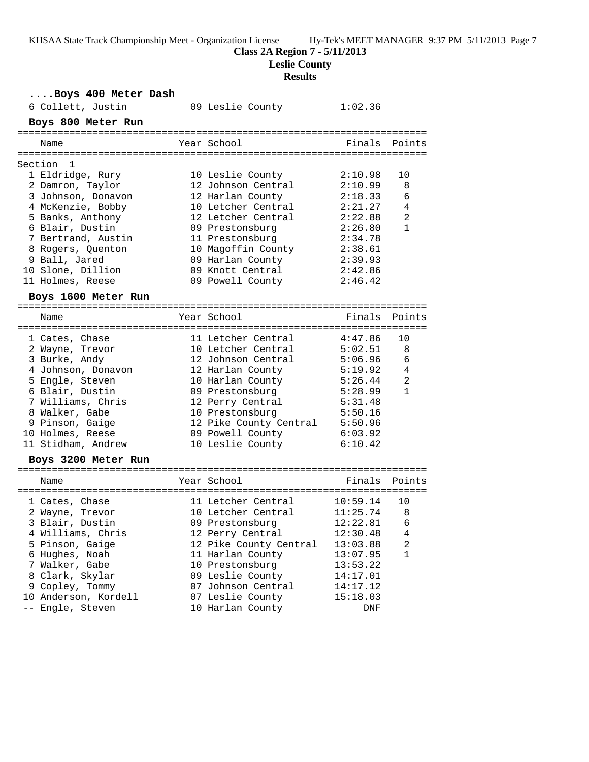**Class 2A Region 7 - 5/11/2013**

**Leslie County**

| Boys 400 Meter Dash              |                        |          |              |
|----------------------------------|------------------------|----------|--------------|
| 6 Collett, Justin                | 09 Leslie County       | 1:02.36  |              |
| Boys 800 Meter Run               |                        |          |              |
|                                  |                        |          |              |
| Name                             | Year School            | Finals   | Points       |
|                                  |                        |          |              |
| Section<br>1<br>1 Eldridge, Rury | 10 Leslie County       | 2:10.98  | 10           |
| 2 Damron, Taylor                 | 12 Johnson Central     | 2:10.99  | 8            |
| 3 Johnson, Donavon               | 12 Harlan County       | 2:18.33  | 6            |
| 4 McKenzie, Bobby                | 10 Letcher Central     | 2:21.27  | 4            |
| 5 Banks, Anthony                 | 12 Letcher Central     | 2:22.88  | 2            |
| 6 Blair, Dustin                  | 09 Prestonsburg        | 2:26.80  | $\mathbf{1}$ |
| 7 Bertrand, Austin               | 11 Prestonsburg        | 2:34.78  |              |
| 8 Rogers, Quenton                | 10 Magoffin County     | 2:38.61  |              |
| 9 Ball, Jared                    | 09 Harlan County       | 2:39.93  |              |
| 10 Slone, Dillion                | 09 Knott Central       | 2:42.86  |              |
| 11 Holmes, Reese                 | 09 Powell County       | 2:46.42  |              |
|                                  |                        |          |              |
| Boys 1600 Meter Run              |                        |          |              |
| Name                             | Year School            | Finals   | Points       |
|                                  |                        |          |              |
| 1 Cates, Chase                   | 11 Letcher Central     | 4:47.86  | 10           |
| 2 Wayne, Trevor                  | 10 Letcher Central     | 5:02.51  | 8            |
| 3 Burke, Andy                    | 12 Johnson Central     | 5:06.96  | 6            |
| 4 Johnson, Donavon               | 12 Harlan County       | 5:19.92  | 4            |
| 5 Engle, Steven                  | 10 Harlan County       | 5:26.44  | 2            |
| 6 Blair, Dustin                  | 09 Prestonsburg        | 5:28.99  | $\mathbf{1}$ |
| 7 Williams, Chris                | 12 Perry Central       | 5:31.48  |              |
| 8 Walker, Gabe                   | 10 Prestonsburg        | 5:50.16  |              |
| 9 Pinson, Gaige                  | 12 Pike County Central | 5:50.96  |              |
| 10 Holmes, Reese                 | 09 Powell County       | 6:03.92  |              |
| 11 Stidham, Andrew               | 10 Leslie County       | 6:10.42  |              |
| Boys 3200 Meter Run              |                        |          |              |
|                                  |                        |          |              |
| Name                             | Year School            | Finals   | Points       |
| 1 Cates, Chase                   | 11 Letcher Central     | 10:59.14 | 10           |
| 2 Wayne, Trevor                  | 10 Letcher Central     | 11:25.74 | 8            |
| 3 Blair, Dustin                  | 09 Prestonsburg        | 12:22.81 | 6            |
| 4 Williams, Chris                | 12 Perry Central       | 12:30.48 | 4            |
| 5 Pinson, Gaige                  | 12 Pike County Central | 13:03.88 | 2            |
| 6 Hughes, Noah                   | 11 Harlan County       | 13:07.95 | $\mathbf{1}$ |
| 7 Walker, Gabe                   | 10 Prestonsburg        | 13:53.22 |              |
| 8 Clark, Skylar                  | 09 Leslie County       | 14:17.01 |              |
| 9 Copley, Tommy                  | 07 Johnson Central     | 14:17.12 |              |
| 10 Anderson, Kordell             | 07 Leslie County       | 15:18.03 |              |
| -- Engle, Steven                 | 10 Harlan County       | DNF      |              |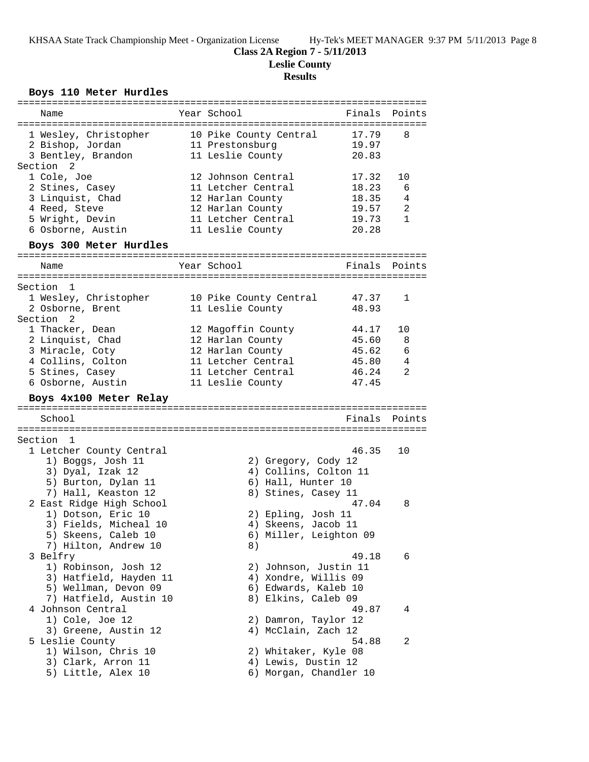### **Class 2A Region 7 - 5/11/2013**

**Leslie County**

# **Results**

# **Boys 110 Meter Hurdles**

| ===========================                                                                                                                                           |                                                                                                                            |                                                    |                                   |
|-----------------------------------------------------------------------------------------------------------------------------------------------------------------------|----------------------------------------------------------------------------------------------------------------------------|----------------------------------------------------|-----------------------------------|
| Name                                                                                                                                                                  | Year School                                                                                                                | Finals                                             | Points                            |
| 1 Wesley, Christopher<br>2 Bishop, Jordan<br>3 Bentley, Brandon<br>Section <sub>2</sub>                                                                               | 10 Pike County Central<br>11 Prestonsburg<br>11 Leslie County                                                              | 17.79<br>19.97<br>20.83                            | 8                                 |
| 1 Cole, Joe<br>2 Stines, Casey<br>3 Linquist, Chad<br>4 Reed, Steve<br>5 Wright, Devin<br>6 Osborne, Austin                                                           | 12 Johnson Central<br>11 Letcher Central<br>12 Harlan County<br>12 Harlan County<br>11 Letcher Central<br>11 Leslie County | 17.32<br>18.23<br>18.35<br>19.57<br>19.73<br>20.28 | 10<br>6<br>4<br>2<br>$\mathbf{1}$ |
| Boys 300 Meter Hurdles                                                                                                                                                |                                                                                                                            |                                                    |                                   |
| Name                                                                                                                                                                  | Year School                                                                                                                | Finals                                             | Points                            |
| Section<br>$\overline{1}$<br>1 Wesley, Christopher<br>2 Osborne, Brent                                                                                                | 10 Pike County Central<br>11 Leslie County                                                                                 | 47.37<br>48.93                                     | 1                                 |
| Section <sub>2</sub><br>1 Thacker, Dean<br>2 Linquist, Chad<br>3 Miracle, Coty<br>4 Collins, Colton<br>5 Stines, Casey<br>6 Osborne, Austin<br>Boys 4x100 Meter Relay | 12 Magoffin County<br>12 Harlan County<br>12 Harlan County<br>11 Letcher Central<br>11 Letcher Central<br>11 Leslie County | 44.17<br>45.60<br>45.62<br>45.80<br>46.24<br>47.45 | 10<br>8<br>6<br>4<br>2            |
| School                                                                                                                                                                |                                                                                                                            | Finals                                             | Points                            |
|                                                                                                                                                                       |                                                                                                                            |                                                    |                                   |
| Section 1<br>1 Letcher County Central<br>1) Boggs, Josh 11<br>3) Dyal, Izak 12<br>5) Burton, Dylan 11                                                                 | 2) Gregory, Cody 12<br>4) Collins, Colton 11<br>6) Hall, Hunter 10                                                         | 46.35                                              | 10                                |
| 7) Hall, Keaston 12<br>2 East Ridge High School<br>1) Dotson, Eric 10<br>3) Fields, Micheal 10<br>5) Skeens, Caleb 10<br>7) Hilton, Andrew 10                         | 8) Stines, Casey 11<br>2) Epling, Josh 11<br>4) Skeens, Jacob 11<br>6) Miller, Leighton 09<br>8)                           | 47.04                                              | 8                                 |
| 3 Belfry<br>1) Robinson, Josh 12<br>3) Hatfield, Hayden 11<br>5) Wellman, Devon 09<br>7) Hatfield, Austin 10                                                          | 2) Johnson, Justin 11<br>4) Xondre, Willis 09<br>6) Edwards, Kaleb 10<br>8) Elkins, Caleb 09                               | 49.18                                              | 6                                 |
| 4 Johnson Central<br>1) Cole, Joe 12<br>3) Greene, Austin 12                                                                                                          | 2) Damron, Taylor 12<br>4) McClain, Zach 12                                                                                | 49.87                                              | 4                                 |
| 5 Leslie County                                                                                                                                                       |                                                                                                                            | 54.88                                              | 2                                 |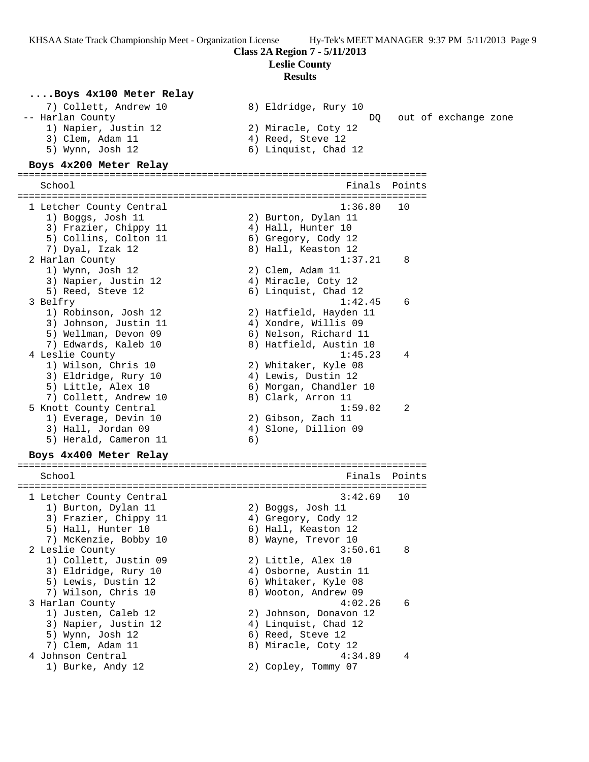**Class 2A Region 7 - 5/11/2013**

**Leslie County**

# **Results**

**....Boys 4x100 Meter Relay**<br>
7) Collett, Andrew 10 (8) Eldridge, Rury 10 7) Collett, Andrew 10 8) Eldridge, Rury 10 -- Harlan County DQ out of exchange zone 1) Napier, Justin 12 2) Miracle, Coty 12 3) Clem, Adam 11 (4) Reed, Steve 12 5) Wynn, Josh 12 6) Linquist, Chad 12 **Boys 4x200 Meter Relay** ======================================================================= School **Finals Points** ======================================================================= 1 Letcher County Central 1:36.80 10 1) Boggs, Josh 11 2) Burton, Dylan 11 3) Frazier, Chippy 11 (4) Hall, Hunter 10 5) Collins, Colton 11 (6) Gregory, Cody 12 7) Dyal, Izak 12 8) Hall, Keaston 12 2 Harlan County 1:37.21 8 1) Wynn, Josh 12 2) Clem, Adam 11 3) Napier, Justin 12 (4) Miracle, Coty 12 5) Reed, Steve 12 6) Linquist, Chad 12 3 Belfry 1:42.45 6 1) Robinson, Josh 12 2) Hatfield, Hayden 11 3) Johnson, Justin 11 (4) Xondre, Willis 09 5) Wellman, Devon 09 6) Nelson, Richard 11 7) Edwards, Kaleb 10 8) Hatfield, Austin 10 4 Leslie County 1:45.23 4 1) Wilson, Chris 10 2) Whitaker, Kyle 08 3) Eldridge, Rury 10 (4) Lewis, Dustin 12 5) Little, Alex 10 6) Morgan, Chandler 10 7) Collett, Andrew 10 8) Clark, Arron 11 5 Knott County Central 1:59.02 2 1) Everage, Devin 10 2) Gibson, Zach 11 3) Hall, Jordan 09 4) Slone, Dillion 09 5) Herald, Cameron 11 6) **Boys 4x400 Meter Relay**

# ======================================================================= School **Finals Points** ======================================================================= 1 Letcher County Central 3:42.69 10 1) Burton, Dylan 11  $\qquad \qquad$  2) Boggs, Josh 11 3) Frazier, Chippy 11 (4) Gregory, Cody 12 5) Hall, Hunter 10 6) Hall, Keaston 12 7) McKenzie, Bobby 10  $\hphantom{\text{2.65}$  8) Wayne, Trevor 10 2 Leslie County 3:50.61 8 1) Collett, Justin 09 2) Little, Alex 10 3) Eldridge, Rury 10 4) Osborne, Austin 11 5) Lewis, Dustin 12 (6) Whitaker, Kyle 08 7) Wilson, Chris 10 8) Wooton, Andrew 09 3 Harlan County 4:02.26 6 1) Justen, Caleb 12 2) Johnson, Donavon 12 3) Napier, Justin 12 (4) Linquist, Chad 12 5) Wynn, Josh 12 6) Reed, Steve 12 7) Clem, Adam 11 8) Miracle, Coty 12 4 Johnson Central 4:34.89 4 1) Burke, Andy 12 2) Copley, Tommy 07